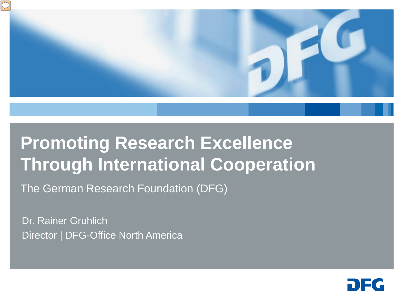

# **Promoting Research Excellence Through International Cooperation**

The German Research Foundation (DFG)

Dr. Rainer Gruhlich Director | DFG-Office North America

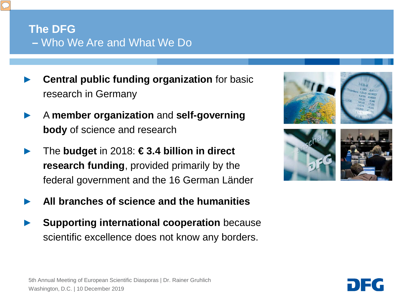## **The DFG –** Who We Are and What We Do

- **Central public funding organization** for basic research in Germany
- ► A **member organization** and **self-governing body** of science and research
- ► The **budget** in 2018: **€ 3.4 billion in direct research funding**, provided primarily by the federal government and the 16 German Länder
- ► **All branches of science and the humanities**
- **Supporting international cooperation** because scientific excellence does not know any borders.



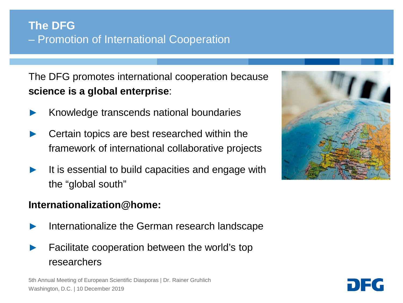## **The DFG** – Promotion of International Cooperation

The DFG promotes international cooperation because **science is a global enterprise**:

- Knowledge transcends national boundaries
- Certain topics are best researched within the framework of international collaborative projects
- It is essential to build capacities and engage with the "global south"

#### **Internationalization@home:**

- Internationalize the German research landscape
- Facilitate cooperation between the world's top researchers

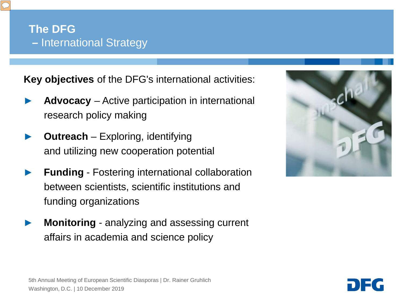**Key objectives** of the DFG's international activities:

- ► **Advocacy**  Active participation in international research policy making
- ► **Outreach**  Exploring, identifying and utilizing new cooperation potential
- **Funding** Fostering international collaboration between scientists, scientific institutions and funding organizations
- **Monitoring** analyzing and assessing current affairs in academia and science policy



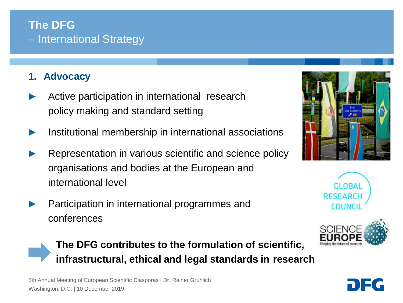### **1. Advocacy**

- Active participation in international research policy making and standard setting
- Institutional membership in international associations
- Representation in various scientific and science policy organisations and bodies at the European and international level
- Participation in international programmes and conferences









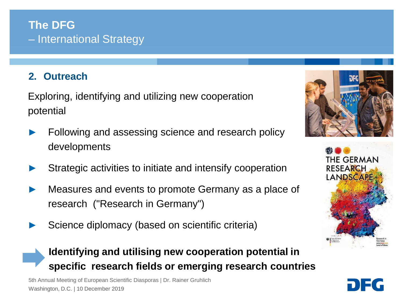#### **2. Outreach**

Exploring, identifying and utilizing new cooperation potential

- Following and assessing science and research policy developments
- Strategic activities to initiate and intensify cooperation
- Measures and events to promote Germany as a place of research ("Research in Germany")
- Science diplomacy (based on scientific criteria)





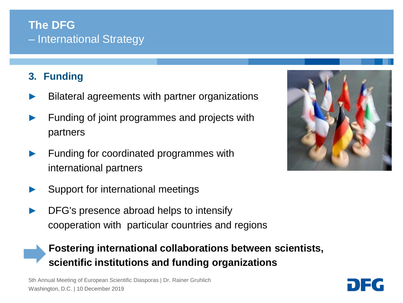## **3. Funding**

- Bilateral agreements with partner organizations
- Funding of joint programmes and projects with partners
- Funding for coordinated programmes with international partners
- Support for international meetings
- DFG's presence abroad helps to intensify cooperation with particular countries and regions

## **Fostering international collaborations between scientists, scientific institutions and funding organizations**



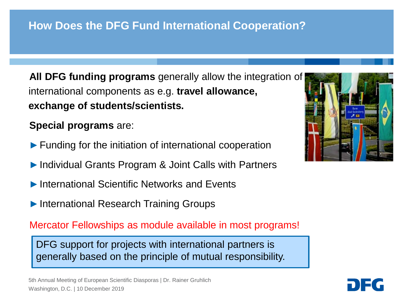## **How Does the DFG Fund International Cooperation?**

**All DFG funding programs** generally allow the integration of international components as e.g. **travel allowance, exchange of students/scientists.**

**Special programs** are:

- ►Funding for the initiation of international cooperation
- ►Individual Grants Program & Joint Calls with Partners
- ►International Scientific Networks and Events
- ►International Research Training Groups

Mercator Fellowships as module available in most programs!

DFG support for projects with international partners is generally based on the principle of mutual responsibility.

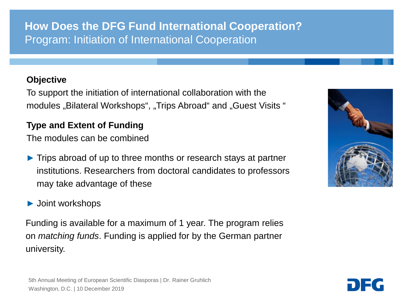## **How Does the DFG Fund International Cooperation?** Program: Initiation of International Cooperation

#### **Objective**

To support the initiation of international collaboration with the modules "Bilateral Workshops", "Trips Abroad" and "Guest Visits "

#### **Type and Extent of Funding**

The modules can be combined

► Trips abroad of up to three months or research stays at partner institutions. Researchers from doctoral candidates to professors may take advantage of these

#### ► Joint workshops

Funding is available for a maximum of 1 year. The program relies on *matching funds*. Funding is applied for by the German partner university.



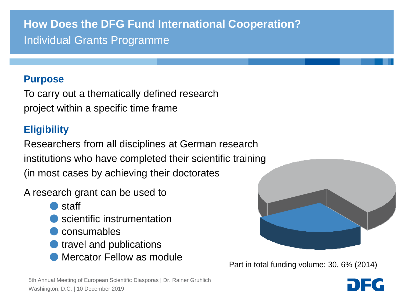# **How Does the DFG Fund International Cooperation?** Individual Grants Programme

#### **Purpose**

To carry out a thematically defined research project within a specific time frame

#### **Eligibility**

Researchers from all disciplines at German research institutions who have completed their scientific training (in most cases by achieving their doctorates

A research grant can be used to

- staff
- **Scientific instrumentation**
- consumables
- travel and publications
- Mercator Fellow as module



Part in total funding volume: 27,9% (2011) Part in total funding volume: 30, 6% (2014)

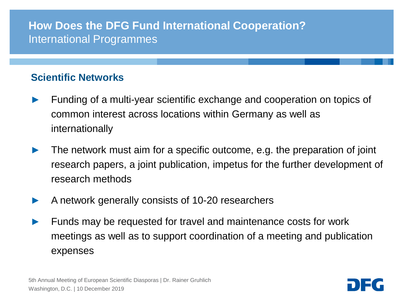## **How Does the DFG Fund International Cooperation?** International Programmes

#### **Scientific Networks**

- Funding of a multi-year scientific exchange and cooperation on topics of common interest across locations within Germany as well as internationally
- The network must aim for a specific outcome, e.g. the preparation of joint research papers, a joint publication, impetus for the further development of research methods
- A network generally consists of 10-20 researchers
- Funds may be requested for travel and maintenance costs for work meetings as well as to support coordination of a meeting and publication expenses

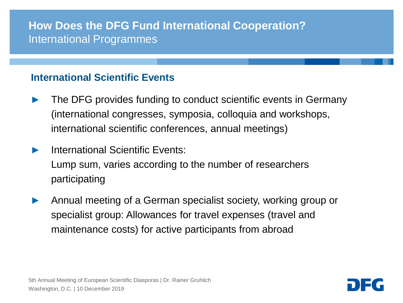## **How Does the DFG Fund International Cooperation?** International Programmes

#### **International Scientific Events**

- The DFG provides funding to conduct scientific events in Germany (international congresses, symposia, colloquia and workshops, international scientific conferences, annual meetings)
- International Scientific Events: Lump sum, varies according to the number of researchers participating
- ► Annual meeting of a German specialist society, working group or specialist group: Allowances for travel expenses (travel and maintenance costs) for active participants from abroad

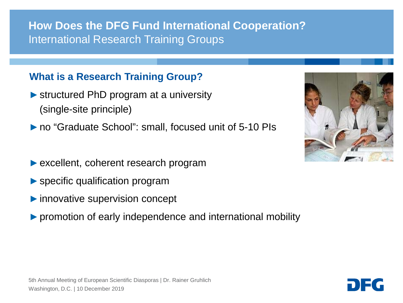## **How Does the DFG Fund International Cooperation?** International Research Training Groups

#### **What is a Research Training Group?**

- ►structured PhD program at a university (single-site principle)
- ►no "Graduate School": small, focused unit of 5-10 PIs
- ► excellent, coherent research program
- ▶ specific qualification program
- ►innovative supervision concept
- ►promotion of early independence and international mobility



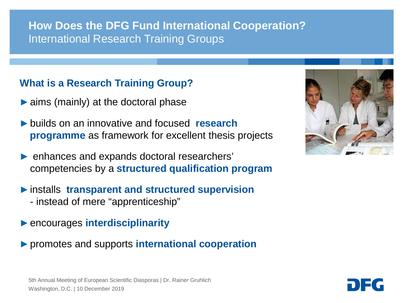## **How Does the DFG Fund International Cooperation?** International Research Training Groups

#### **What is a Research Training Group?**

- $\triangleright$  aims (mainly) at the doctoral phase
- ►builds on an innovative and focused **research programme** as framework for excellent thesis projects
- enhances and expands doctoral researchers' competencies by a **structured qualification program**
- ►installs **transparent and structured supervision** - instead of mere "apprenticeship"
- ►encourages **interdisciplinarity**
- ►promotes and supports **international cooperation**



5th Annual Meeting of European Scientific Diasporas | Dr. Rainer Gruhlich Washington, D.C. | 10 December 2019

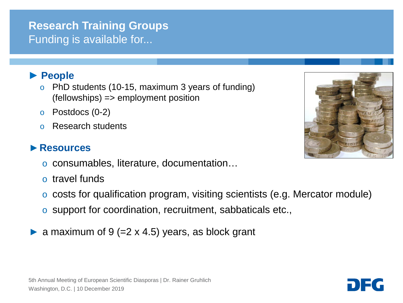## **Research Training Groups** Funding is available for...

#### ► **People**

- o PhD students (10-15, maximum 3 years of funding) (fellowships) => employment position
- $\circ$  Postdocs (0-2)
- o Research students

#### ►**Resources**

- o consumables, literature, documentation…
- o travel funds
- o costs for qualification program, visiting scientists (e.g. Mercator module)
- o support for coordination, recruitment, sabbaticals etc.,
- $\triangleright$  a maximum of 9 (=2 x 4.5) years, as block grant



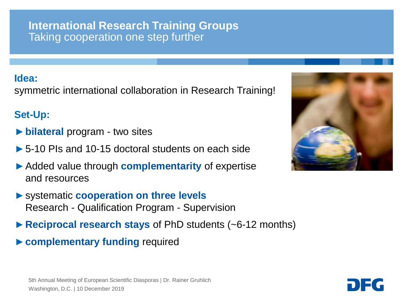#### **International Research Training Groups** Taking cooperation one step further

#### **Idea:**

symmetric international collaboration in Research Training!

#### **Set-Up:**

- ►**bilateral** program two sites
- ►5-10 PIs and 10-15 doctoral students on each side
- ►Added value through **complementarity** of expertise and resources
- ►systematic **cooperation on three levels** Research - Qualification Program - Supervision
- ►**Reciprocal research stays** of PhD students (~6-12 months)
- ►**complementary funding** required

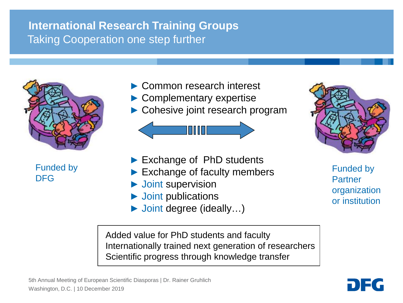# **International Research Training Groups** Taking Cooperation one step further



Funded by DFG

- ► Common research interest ► Complementary expertise
- ► Cohesive joint research program



- ► Exchange of PhD students
- ► Exchange of faculty members
- ► Joint supervision
- ► Joint publications
- ► Joint degree (ideally…)

Funded by Partner organization or institution

Added value for PhD students and faculty Internationally trained next generation of researchers Scientific progress through knowledge transfer

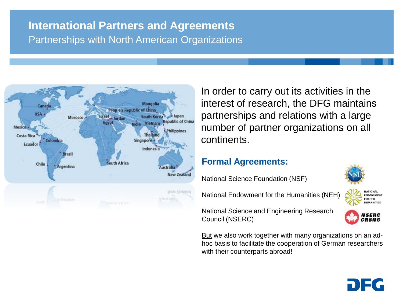## **International Partners and Agreements** Partnerships with North American Organizations



In order to carry out its activities in the interest of research, the DFG maintains partnerships and relations with a large number of partner organizations on all continents.

#### **Formal Agreements:**

National Science Foundation (NSF)

National Endowment for the Humanities (NEH)



**ENDOWMENT** FOR THE **HUMANITIES** 

National Science and Engineering Research Council (NSERC)

But we also work together with many organizations on an adhoc basis to facilitate the cooperation of German researchers with their counterparts abroad!

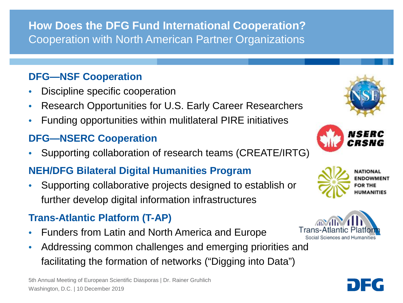**How Does the DFG Fund International Cooperation?** Cooperation with North American Partner Organizations

#### **DFG—NSF Cooperation**

- Discipline specific cooperation
- Research Opportunities for U.S. Early Career Researchers
- Funding opportunities within mulitlateral PIRE initiatives

## **DFG—NSERC Cooperation**

• Supporting collaboration of research teams (CREATE/IRTG)

### **NEH/DFG Bilateral Digital Humanities Program**

• Supporting collaborative projects designed to establish or further develop digital information infrastructures

### **Trans-Atlantic Platform (T-AP)**

- Funders from Latin and North America and Europe
- Addressing common challenges and emerging priorities and facilitating the formation of networks ("Digging into Data")







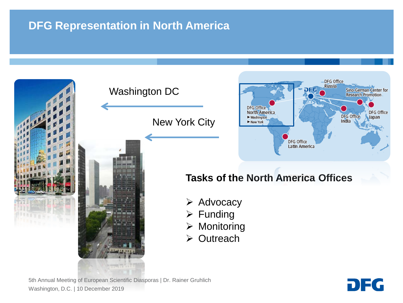# **DFG Representation in North America**



5th Annual Meeting of European Scientific Diasporas | Dr. Rainer Gruhlich Washington, D.C. | 10 December 2019

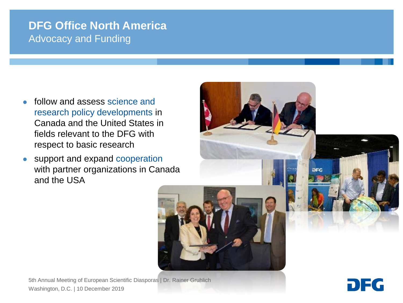## **DFG Office North America** Advocacy and Funding

- follow and assess science and research policy developments in Canada and the United States in fields relevant to the DFG with respect to basic research
- support and expand cooperation with partner organizations in Canada and the USA

5th Annual Meeting of European Scientific Diasporas | Dr. Rainer Gruhlich Washington, D.C. | 10 December 2019



DIE G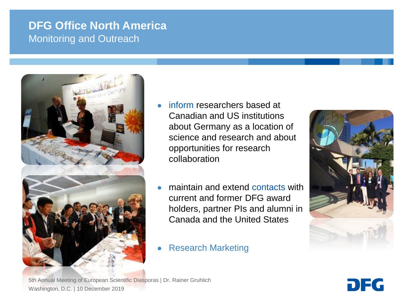## **DFG Office North America** Monitoring and Outreach



- inform researchers based at Canadian and US institutions about Germany as a location of science and research and about opportunities for research collaboration
- maintain and extend contacts with current and former DFG award holders, partner PIs and alumni in Canada and the United States
- **Research Marketing**



5th Annual Meeting of European Scientific Diasporas | Dr. Rainer Gruhlich Washington, D.C. | 10 December 2019

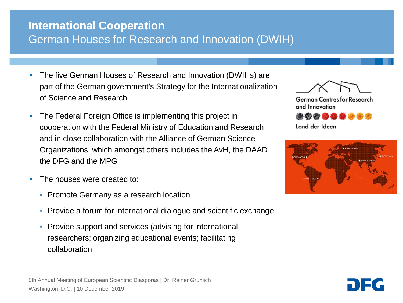## **International Cooperation** German Houses for Research and Innovation (DWIH)

- The five German Houses of Research and Innovation (DWIHs) are part of the German government's Strategy for the Internationalization of Science and Research
- The Federal Foreign Office is implementing this project in cooperation with the Federal Ministry of Education and Research and in close collaboration with the Alliance of German Science Organizations, which amongst others includes the AvH, the DAAD the DFG and the MPG
- **The houses were created to:** 
	- Promote Germany as a research location
	- Provide a forum for international dialogue and scientific exchange
	- Provide support and services (advising for international researchers; organizing educational events; facilitating collaboration





German Centres for Research and Innovation



Land der Ideen

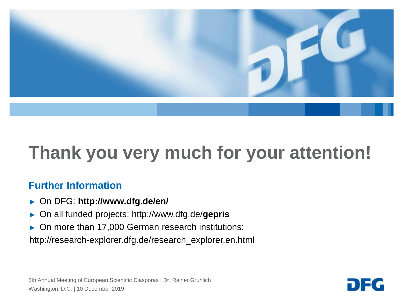

# **Thank you very much for your attention!**

#### **Further Information**

- ► On DFG: **http://www.dfg.de/en/**
- ► On all funded projects: http://www.dfg.de/**gepris**
- ► On more than 17,000 German research institutions:

http://research-explorer.dfg.de/research\_explorer.en.html

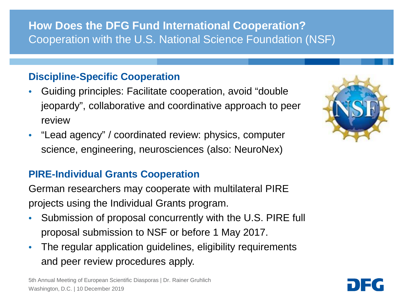# **How Does the DFG Fund International Cooperation?** Cooperation with the U.S. National Science Foundation (NSF)

#### **Discipline-Specific Cooperation**

- Guiding principles: Facilitate cooperation, avoid "double jeopardy", collaborative and coordinative approach to peer review
- "Lead agency" / coordinated review: physics, computer science, engineering, neurosciences (also: NeuroNex)

#### **PIRE-Individual Grants Cooperation**

German researchers may cooperate with multilateral PIRE projects using the Individual Grants program.

- Submission of proposal concurrently with the U.S. PIRE full proposal submission to NSF or before 1 May 2017.
- The regular application guidelines, eligibility requirements and peer review procedures apply.

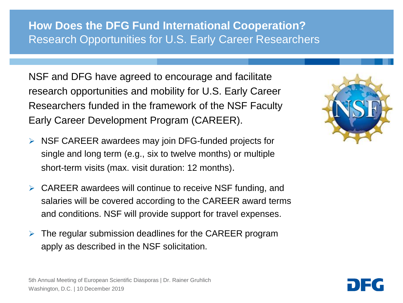## **How Does the DFG Fund International Cooperation?** Research Opportunities for U.S. Early Career Researchers

NSF and DFG have agreed to encourage and facilitate research opportunities and mobility for U.S. Early Career Researchers funded in the framework of the NSF Faculty Early Career Development Program (CAREER).

- $\triangleright$  NSF CAREER awardees may join DFG-funded projects for single and long term (e.g., six to twelve months) or multiple short-term visits (max. visit duration: 12 months).
- $\triangleright$  CAREER awardees will continue to receive NSF funding, and salaries will be covered according to the CAREER award terms and conditions. NSF will provide support for travel expenses.
- $\triangleright$  The regular submission deadlines for the CAREER program apply as described in the NSF solicitation.